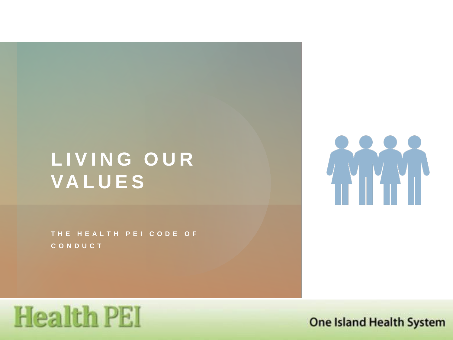# **LIVING OUR VALUES**

**THE HEALTH PEI CODE OF CONDUCT**



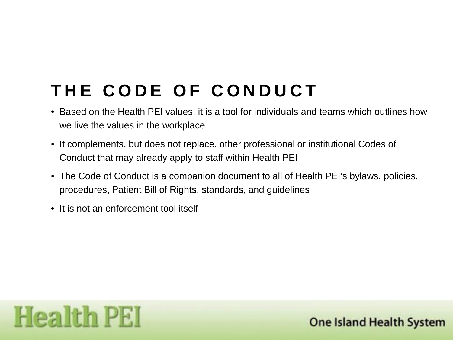# **THE CODE OF CONDUCT**

- Based on the Health PEI values, it is a tool for individuals and teams which outlines how we live the values in the workplace
- It complements, but does not replace, other professional or institutional Codes of Conduct that may already apply to staff within Health PEI
- The Code of Conduct is a companion document to all of Health PEI's bylaws, policies, procedures, Patient Bill of Rights, standards, and guidelines
- It is not an enforcement tool itself

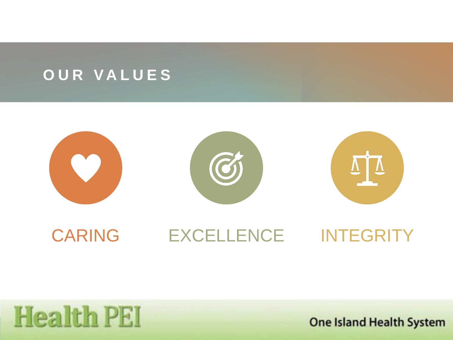#### **OUR VALUES**



# **Health PEI**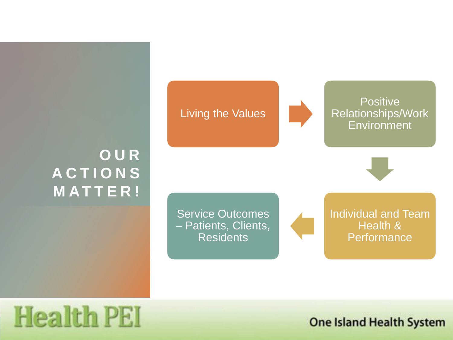### **OUR ACTIONS MATTER!**





**Positive** Relationships/Work **Environment** 



Service Outcomes – Patients, Clients, Residents

Individual and Team Health & **Performance** 

# **Health PEI**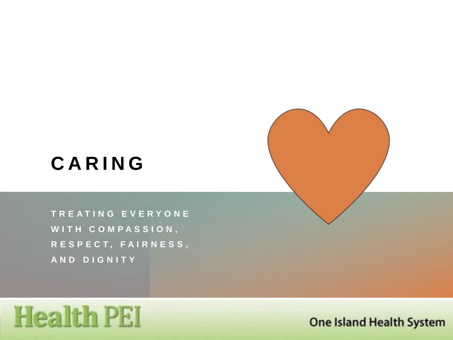### **CARING**

**TREATING EVERYONE WITH COMPASSION, RESPECT, FAIRNESS, AND DIGNITY**

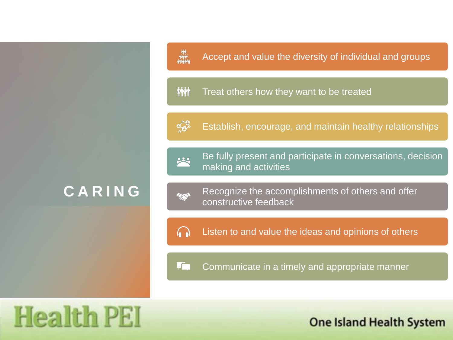#### **CARING**

#### Accept and value the diversity of individual and groups

#### **MM** Treat others how they want to be treated



هيو<br>1997:<br>1999:99

Establish, encourage, and maintain healthy relationships



Be fully present and participate in conversations, decision making and activities



Recognize the accomplishments of others and offer constructive feedback

Listen to and value the ideas and opinions of others  $\Omega$ 

 $\sqrt{ }$ Communicate in a timely and appropriate manner

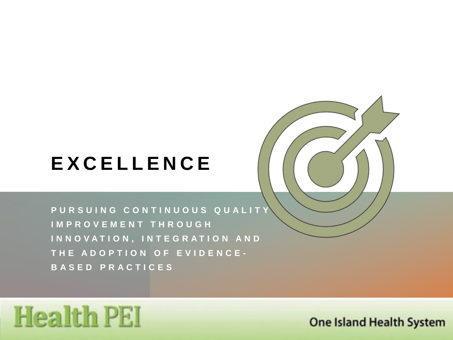# **EXCELLENCE**

**PURSUING CONTINUOUS QUALITY IMPROVEMENT THROUGH INNOVATION, INTEGRATION AND THE ADOPTION OF EVIDENCE - BASED PRACTICES**

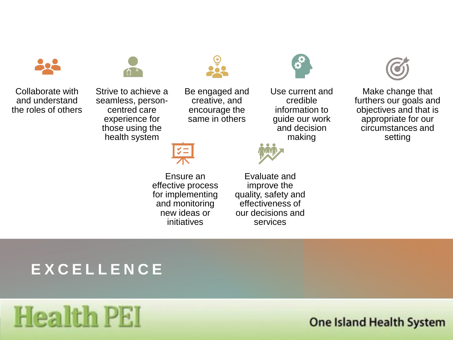

Collaborate with and understand the roles of others Strive to achieve a

seamless, personcentred care experience for those using the health system



Ensure an effective process for implementing and monitoring new ideas or initiatives

Be engaged and creative, and encourage the same in others

> Evaluate and improve the quality, safety and effectiveness of our decisions and services



Use current and credible information to guide our work and decision making



Make change that furthers our goals and objectives and that is appropriate for our circumstances and setting

#### **EXCELLENCE**

# **Health PEI**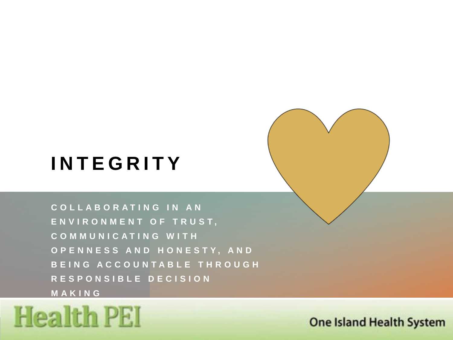### **INTEGRITY**

**COLLABORATING IN AN ENVIRONMENT OF TRUST, COMMUNICATING WITH OPENNESS AND HONESTY, AND BEING ACCOUNTABLE THROUGH RESPONSIBLE DECISION MAKING**

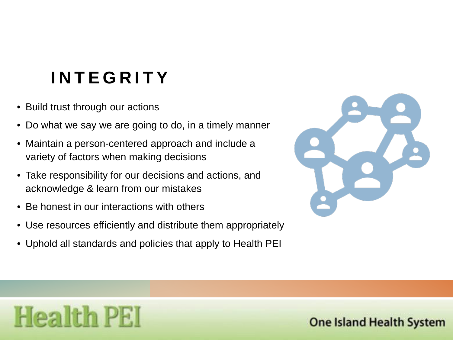# **INTEGRITY**

• Build trust through our actions

**Health PEI** 

- Do what we say we are going to do, in a timely manner
- Maintain a person-centered approach and include a variety of factors when making decisions
- Take responsibility for our decisions and actions, and acknowledge & learn from our mistakes
- Be honest in our interactions with others
- Use resources efficiently and distribute them appropriately
- Uphold all standards and policies that apply to Health PEI

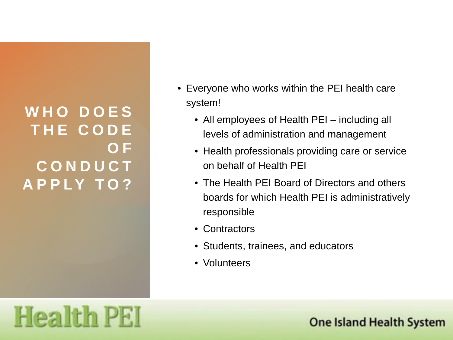### **WHO DOES THE CODE OF CONDUCT APPLY TO?**

- Everyone who works within the PEI health care system!
	- All employees of Health PEI including all levels of administration and management
	- Health professionals providing care or service on behalf of Health PEI
	- The Health PEI Board of Directors and others boards for which Health PEI is administratively responsible
	- Contractors
	- Students, trainees, and educators
	- Volunteers

# **Health PEI**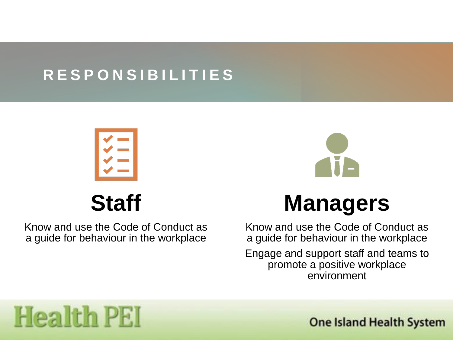### **RESPONSIBILITIES**



**Staff**

Know and use the Code of Conduct as a guide for behaviour in the workplace



Know and use the Code of Conduct as a guide for behaviour in the workplace

Engage and support staff and teams to promote a positive workplace environment

# **Health PEI**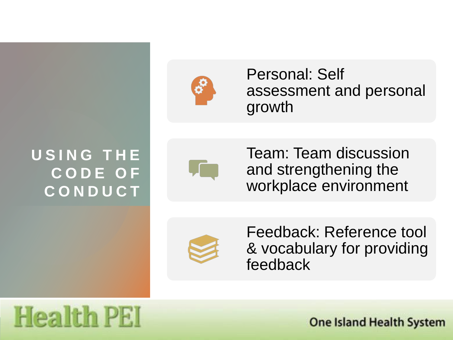

Personal: Self assessment and personal growth

### **USING THE CODE OF CONDUCT**



Team: Team discussion and strengthening the workplace environment



Feedback: Reference tool & vocabulary for providing feedback

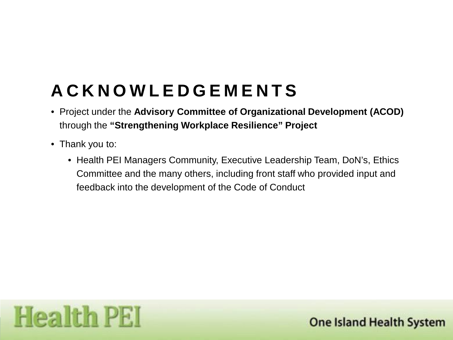## **ACKNOWLEDGEMENTS**

- Project under the **Advisory Committee of Organizational Development (ACOD)**  through the **"Strengthening Workplace Resilience" Project**
- Thank you to:
	- Health PEI Managers Community, Executive Leadership Team, DoN's, Ethics Committee and the many others, including front staff who provided input and feedback into the development of the Code of Conduct